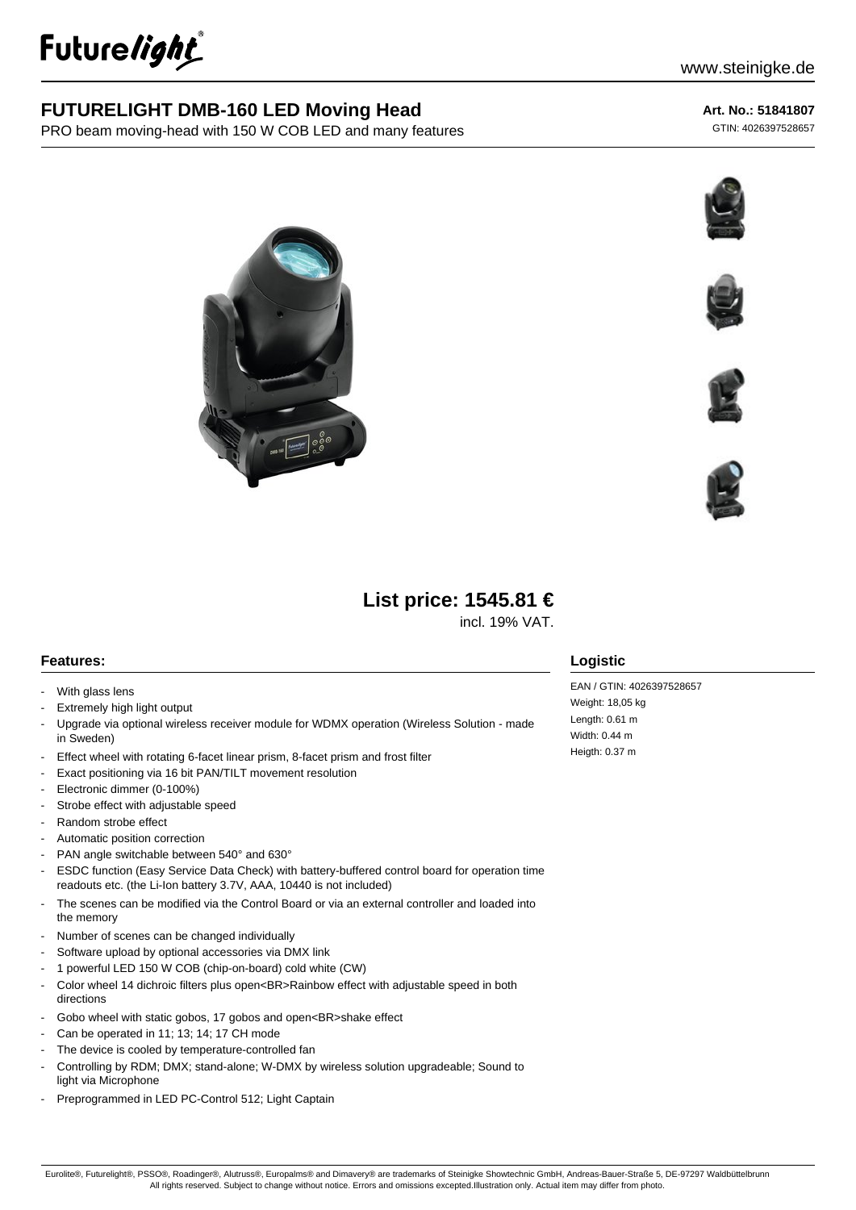

## **FUTURELIGHT DMB-160 LED Moving Head**

PRO beam moving-head with 150 W COB LED and many features

#### **Art. No.: 51841807**

GTIN: 4026397528657











# **List price: 1545.81 €**

incl. 19% VAT.

#### **Features:**

- With glass lens
- Extremely high light output
- Upgrade via optional wireless receiver module for WDMX operation (Wireless Solution made in Sweden)
- Effect wheel with rotating 6-facet linear prism, 8-facet prism and frost filter
- Exact positioning via 16 bit PAN/TILT movement resolution
- Electronic dimmer (0-100%)
- Strobe effect with adjustable speed
- Random strobe effect
- Automatic position correction
- PAN angle switchable between 540° and 630°
- ESDC function (Easy Service Data Check) with battery-buffered control board for operation time readouts etc. (the Li-Ion battery 3.7V, AAA, 10440 is not included)
- The scenes can be modified via the Control Board or via an external controller and loaded into the memory
- Number of scenes can be changed individually
- Software upload by optional accessories via DMX link
- 1 powerful LED 150 W COB (chip-on-board) cold white (CW)
- Color wheel 14 dichroic filters plus open<BR>Rainbow effect with adjustable speed in both directions
- Gobo wheel with static gobos, 17 gobos and open<BR>shake effect
- Can be operated in 11: 13: 14: 17 CH mode
- The device is cooled by temperature-controlled fan
- Controlling by RDM; DMX; stand-alone; W-DMX by wireless solution upgradeable; Sound to light via Microphone
- Preprogrammed in LED PC-Control 512; Light Captain

#### **Logistic**

EAN / GTIN: 4026397528657 Weight: 18,05 kg Length: 0.61 m Width: 0.44 m Heigth: 0.37 m